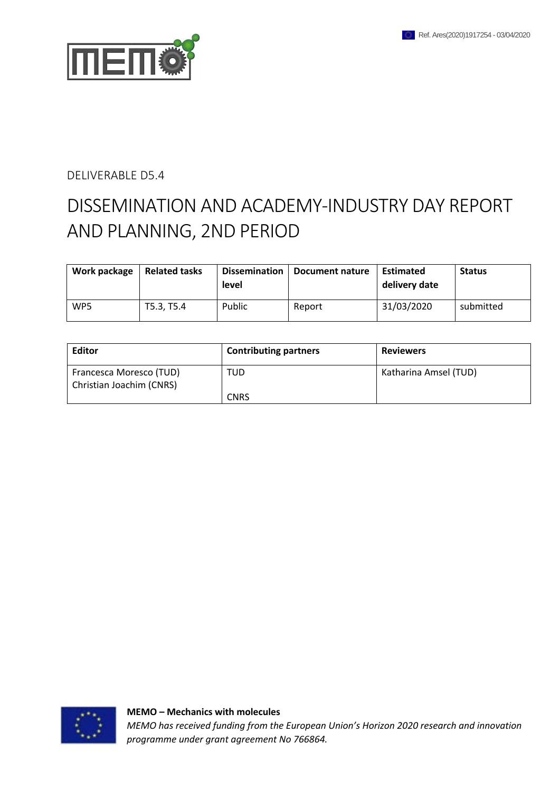

### DELIVERABLE D5.4

# DISSEMINATION AND ACADEMY-INDUSTRY DAY REPORT AND PLANNING, 2ND PERIOD

| Work package | <b>Related tasks</b> | <b>Dissemination</b><br>level | Document nature | Estimated<br>delivery date | <b>Status</b> |
|--------------|----------------------|-------------------------------|-----------------|----------------------------|---------------|
| WP5          | T5.3, T5.4           | Public                        | Report          | 31/03/2020                 | submitted     |

| Editor                                              | <b>Contributing partners</b> | <b>Reviewers</b>      |
|-----------------------------------------------------|------------------------------|-----------------------|
| Francesca Moresco (TUD)<br>Christian Joachim (CNRS) | TUD                          | Katharina Amsel (TUD) |
|                                                     | <b>CNRS</b>                  |                       |

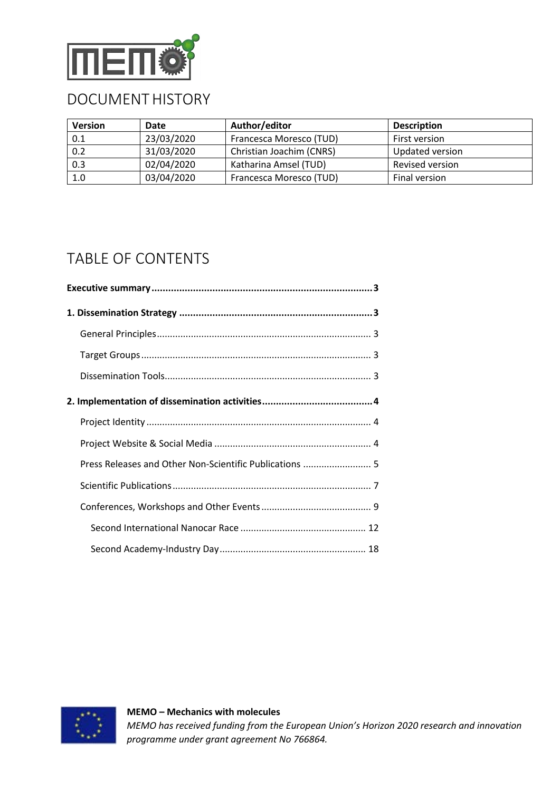

## DOCUMENT HISTORY

| <b>Version</b> | Date       | Author/editor            | <b>Description</b> |
|----------------|------------|--------------------------|--------------------|
| 0.1            | 23/03/2020 | Francesca Moresco (TUD)  | First version      |
| 0.2            | 31/03/2020 | Christian Joachim (CNRS) | Updated version    |
| 0.3            | 02/04/2020 | Katharina Amsel (TUD)    | Revised version    |
| 1.0            | 03/04/2020 | Francesca Moresco (TUD)  | Final version      |

## TABLE OF CONTENTS

| Press Releases and Other Non-Scientific Publications  5 |
|---------------------------------------------------------|
|                                                         |
|                                                         |
|                                                         |
|                                                         |
|                                                         |

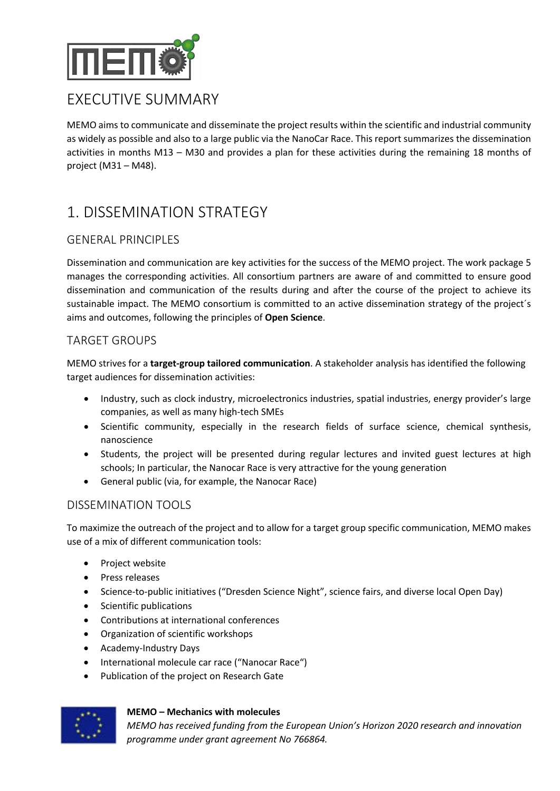

## EXECUTIVE SUMMARY

MEMO aims to communicate and disseminate the project results within the scientific and industrial community as widely as possible and also to a large public via the NanoCar Race. This report summarizes the dissemination activities in months M13 – M30 and provides a plan for these activities during the remaining 18 months of project (M31 – M48).

## 1. DISSEMINATION STRATEGY

## GENERAL PRINCIPLES

Dissemination and communication are key activities for the success of the MEMO project. The work package 5 manages the corresponding activities. All consortium partners are aware of and committed to ensure good dissemination and communication of the results during and after the course of the project to achieve its sustainable impact. The MEMO consortium is committed to an active dissemination strategy of the project´s aims and outcomes, following the principles of **Open Science**.

### TARGET GROUPS

MEMO strives for a **target-group tailored communication**. A stakeholder analysis has identified the following target audiences for dissemination activities:

- Industry, such as clock industry, microelectronics industries, spatial industries, energy provider's large companies, as well as many high-tech SMEs
- Scientific community, especially in the research fields of surface science, chemical synthesis, nanoscience
- Students, the project will be presented during regular lectures and invited guest lectures at high schools; In particular, the Nanocar Race is very attractive for the young generation
- General public (via, for example, the Nanocar Race)

### DISSEMINATION TOOLS

To maximize the outreach of the project and to allow for a target group specific communication, MEMO makes use of a mix of different communication tools:

- Project website
- Press releases
- Science-to-public initiatives ("Dresden Science Night", science fairs, and diverse local Open Day)
- Scientific publications
- Contributions at international conferences
- Organization of scientific workshops
- Academy-Industry Days
- International molecule car race ("Nanocar Race")
- Publication of the project on Research Gate



#### **MEMO – Mechanics with molecules**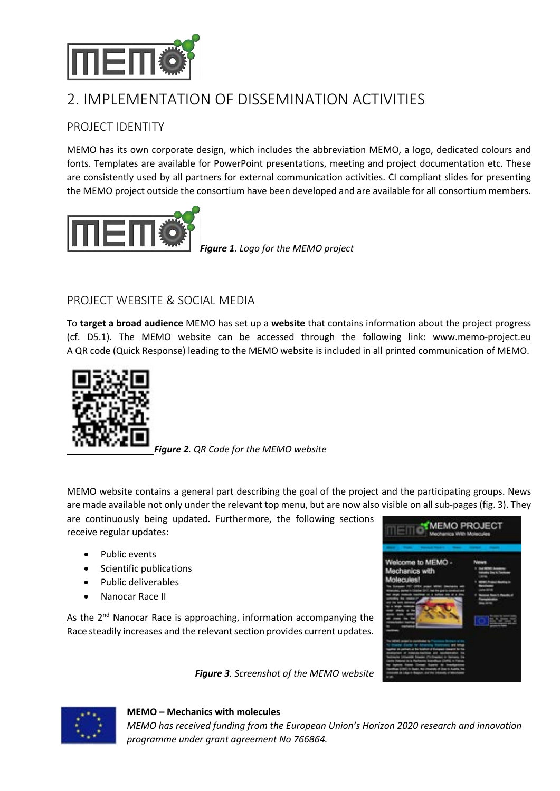

## 2. IMPLEMENTATION OF DISSEMINATION ACTIVITIES

## PROJECT IDENTITY

MEMO has its own corporate design, which includes the abbreviation MEMO, a logo, dedicated colours and fonts. Templates are available for PowerPoint presentations, meeting and project documentation etc. These are consistently used by all partners for external communication activities. CI compliant slides for presenting the MEMO project outside the consortium have been developed and are available for all consortium members.



*Figure 1. Logo for the MEMO project*

### PROJECT WEBSITE & SOCIAL MEDIA

To **target a broad audience** MEMO has set up a **website** that contains information about the project progress (cf. D5.1). The MEMO website can be accessed through the following link: www.memo-project.eu A QR code (Quick Response) leading to the MEMO website is included in all printed communication of MEMO.



*Figure 2. QR Code for the MEMO website*

MEMO website contains a general part describing the goal of the project and the participating groups. News are made available not only under the relevant top menu, but are now also visible on all sub-pages (fig. 3). They

*Figure 3. Screenshot of the MEMO website*

are continuously being updated. Furthermore, the following sections receive regular updates:

- Public events
- Scientific publications
- Public deliverables
- Nanocar Race II

As the 2<sup>nd</sup> Nanocar Race is approaching, information accompanying the Race steadily increases and the relevant section provides current updates.

| Welcome to MEMO - |  |
|-------------------|--|
| Mechanics with    |  |
|                   |  |
| <b>Molecules!</b> |  |
|                   |  |
|                   |  |
|                   |  |
|                   |  |
|                   |  |
|                   |  |
|                   |  |
|                   |  |
|                   |  |
|                   |  |
|                   |  |
|                   |  |
|                   |  |
|                   |  |
|                   |  |
|                   |  |
|                   |  |
|                   |  |



#### **MEMO – Mechanics with molecules**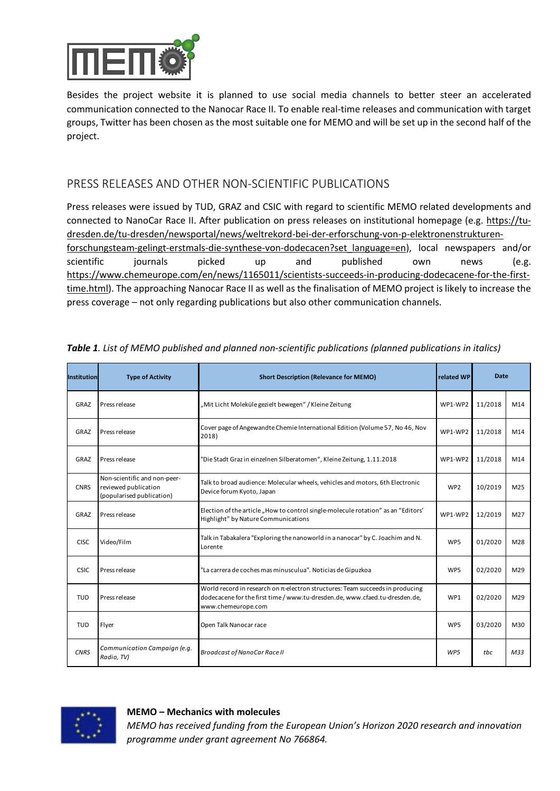

Besides the project website it is planned to use social media channels to better steer an accelerated communication connected to the Nanocar Race II. To enable real-time releases and communication with target groups, Twitter has been chosen as the most suitable one for MEMO and will be set up in the second half of the project.

## PRESS RELEASES AND OTHER NON-SCIENTIFIC PUBLICATIONS

Press releases were issued by TUD, GRAZ and CSIC with regard to scientific MEMO related developments and connected to NanoCar Race II. After publication on press releases on institutional homepage (e.g. https://tudresden.de/tu-dresden/newsportal/news/weltrekord-bei-der-erforschung-von-p-elektronenstrukturenforschungsteam-gelingt-erstmals-die-synthese-von-dodecacen?set\_language=en), local newspapers and/or scientific journals picked up and published own news (e.g. https://www.chemeurope.com/en/news/1165011/scientists-succeeds-in-producing-dodecacene-for-the-firsttime.html). The approaching Nanocar Race II as well as the finalisation of MEMO project is likely to increase the press coverage – not only regarding publications but also other communication channels.

| <b>Institution</b> | <b>Type of Activity</b>                                                           | <b>Short Description (Relevance for MEMO)</b><br>related WP                                                                                                                             |                 | <b>Date</b> |                 |
|--------------------|-----------------------------------------------------------------------------------|-----------------------------------------------------------------------------------------------------------------------------------------------------------------------------------------|-----------------|-------------|-----------------|
| GRAZ               | Press release                                                                     | "Mit Licht Moleküle gezielt bewegen" / Kleine Zeitung                                                                                                                                   | WP1-WP2         | 11/2018     | M14             |
| GRAZ               | Press release                                                                     | Cover page of Angewandte Chemie International Edition (Volume 57, No 46, Nov<br>2018)                                                                                                   | WP1-WP2         | 11/2018     | M14             |
| GRAZ               | Press release                                                                     | "Die Stadt Graz in einzelnen Silberatomen", Kleine Zeitung, 1.11.2018                                                                                                                   | WP1-WP2         | 11/2018     | M14             |
| <b>CNRS</b>        | Non-scientific and non-peer-<br>reviewed publication<br>(popularised publication) | Talk to broad audience: Molecular wheels, vehicles and motors, 6th Electronic<br>Device forum Kyoto, Japan                                                                              | WP <sub>2</sub> | 10/2019     | M25             |
| GRAZ               | Press release                                                                     | Election of the article, How to control single-molecule rotation" as an "Editors'<br>Highlight" by Nature Communications                                                                | WP1-WP2         | 12/2019     | M27             |
| <b>CISC</b>        | Video/Film                                                                        | Talk in Tabakalera "Exploring the nanoworld in a nanocar" by C. Joachim and N.<br>Lorente                                                                                               | WP5             | 01/2020     | M28             |
| CSIC               | Press release                                                                     | "La carrera de coches mas minusculua". Noticias de Gipuzkoa                                                                                                                             | WP5             | 02/2020     | M29             |
| <b>TUD</b>         | Press release                                                                     | World record in research on $\pi$ -electron structures: Team succeeds in producing<br>dodecacene for the first time / www.tu-dresden.de, www.cfaed.tu-dresden.de,<br>www.chemeurope.com | WP1             | 02/2020     | M29             |
| <b>TUD</b>         | Flyer                                                                             | Open Talk Nanocar race                                                                                                                                                                  | WP5             | 03/2020     | M30             |
| <b>CNRS</b>        | Communication Campaign (e.g.<br>Radio, TV)                                        | <b>Broadcast of NanoCar Race II</b>                                                                                                                                                     | WP <sub>5</sub> | thc         | M <sub>33</sub> |

*Table 1. List of MEMO published and planned non-scientific publications (planned publications in italics)*



#### **MEMO – Mechanics with molecules**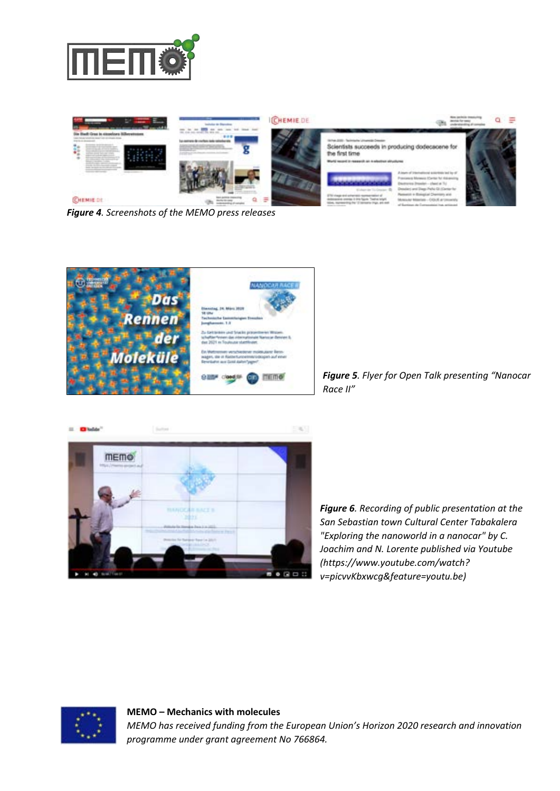



*Figure 4. Screenshots of the MEMO press releases* 





*Figure 5. Flyer for Open Talk presenting "Nanocar Race II"* 



*Figure 6. Recording of public presentation at the San Sebastian town Cultural Center Tabakalera "Exploring the nanoworld in a nanocar" by C. Joachim and N. Lorente published via Youtube (https://www.youtube.com/watch? v=picvvKbxwcg&feature=youtu.be)* 



**MEMO – Mechanics with molecules** *MEMO has received funding from the European Union's Horizon 2020 research and innovation programme under grant agreement No 766864.*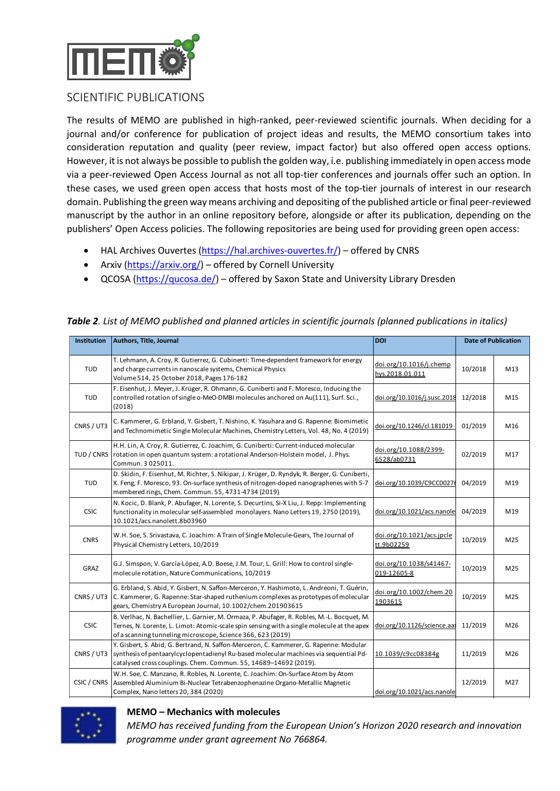

### SCIENTIFIC PUBLICATIONS

The results of MEMO are published in high-ranked, peer-reviewed scientific journals. When deciding for a journal and/or conference for publication of project ideas and results, the MEMO consortium takes into consideration reputation and quality (peer review, impact factor) but also offered open access options. However, it is not always be possible to publish the golden way, i.e. publishing immediately in open access mode via a peer-reviewed Open Access Journal as not all top-tier conferences and journals offer such an option. In these cases, we used green open access that hosts most of the top-tier journals of interest in our research domain. Publishing the green way means archiving and depositing of the published article or final peer-reviewed manuscript by the author in an online repository before, alongside or after its publication, depending on the publishers' Open Access policies. The following repositories are being used for providing green open access:

- HAL Archives Ouvertes (https://hal.archives-ouvertes.fr/) offered by CNRS
- Arxiv (https://arxiv.org/) offered by Cornell University
- QCOSA (https://qucosa.de/) offered by Saxon State and University Library Dresden

| <b>Institution</b> | Authors, Title, Journal                                                                                                                                                                                                                                  | <b>DOI</b>                                 |         | <b>Date of Publication</b> |  |
|--------------------|----------------------------------------------------------------------------------------------------------------------------------------------------------------------------------------------------------------------------------------------------------|--------------------------------------------|---------|----------------------------|--|
| <b>TUD</b>         | T. Lehmann, A. Croy, R. Gutierrez, G. Cubinerti: Time-dependent framework for energy<br>and charge currents in nanoscale systems, Chemical Physics<br>Volume 514, 25 October 2018, Pages 176-182                                                         | doi.org/10.1016/j.chemp<br>hys.2018.01.011 | 10/2018 | M13                        |  |
| <b>TUD</b>         | F. Eisenhut, J. Meyer, J. Krüger, R. Ohmann, G. Cuniberti and F. Moresco, Inducing the<br>controlled rotation of single o-MeO-DMBI molecules anchored on Au(111), Surf. Sci.,<br>(2018)                                                                  | doi.org/10.1016/j.susc.2018                | 12/2018 | M15                        |  |
| CNRS / UT3         | C. Kammerer, G. Erbland, Y. Gisbert, T. Nishino, K. Yasuhara and G. Rapenne: Biomimetic<br>doi.org/10.1246/cl.181019<br>and Technomimetic Single Molecular Machines, Chemistry Letters, Vol. 48, No. 4 (2019)                                            |                                            | 01/2019 | M16                        |  |
| TUD / CNRS         | H.H. Lin, A. Croy, R. Gutierrez, C. Joachim, G. Cuniberti: Current-induced molecular<br>rotation in open quantum system: a rotational Anderson-Holstein model, J. Phys.<br>Commun. 3025011.                                                              | doi.org/10.1088/2399-<br>6528/ab0731       | 02/2019 | M17                        |  |
| <b>TUD</b>         | D. Skidin, F. Eisenhut, M. Richter, S. Nikipar, J. Krüger, D. Ryndyk, R. Berger, G. Cuniberti,<br>X. Feng, F. Moresco, 93. On-surface synthesis of nitrogen-doped nanographenes with 5-7<br>membered rings, Chem. Commun. 55, 4731-4734 (2019)           | doi.org/10.1039/C9CC00276                  | 04/2019 | M19                        |  |
| <b>CSIC</b>        | N. Kocic, D. Blank, P. Abufager, N. Lorente, S. Decurtins, Si-X Liu, J. Repp: Implementing<br>functionality in molecular self-assembled monolayers. Nano Letters 19, 2750 (2019),<br>10.1021/acs.nanolett.8b03960                                        | doi.org/10.1021/acs.nanole                 | 04/2019 | M19                        |  |
| <b>CNRS</b>        | W.H. Soe, S. Srivastava, C. Joachim: A Train of Single Molecule-Gears, The Journal of<br>Physical Chemistry Letters, 10/2019                                                                                                                             | doi.org/10.1021/acs.jpcle<br>tt.9b02259    | 10/2019 | M25                        |  |
| GRAZ               | G.J. Simspon, V. García-López, A.D. Boese, J.M. Tour, L. Grill: How to control single-<br>molecule rotation, Nature Communications, 10/2019                                                                                                              | doi.org/10.1038/s41467-<br>019-12605-8     | 10/2019 | M25                        |  |
| CNRS / UT3         | G. Erbland, S. Abid, Y. Gisbert, N. Saffon-Merceron, Y. Hashimoto, L. Andreoni, T. Guérin,<br>C. Kammerer, G. Rapenne: Star-shaped ruthenium complexes as prototypes of molecular<br>gears, Chemistry A European Journal, 10.1002/chem.201903615         | doi.org/10.1002/chem.20<br>1903615         | 10/2019 | M25                        |  |
| <b>CSIC</b>        | B. Verlhac, N. Bachellier, L. Garnier, M. Ormaza, P. Abufager, R. Robles, M.-L. Bocquet, M.<br>Ternes, N. Lorente, L. Limot: Atomic-scale spin sensing with a single molecule at the apex<br>of a scanning tunneling microscope, Science 366, 623 (2019) | doi.org/10.1126/science.aa;                | 11/2019 | M26                        |  |
| CNRS / UT3         | Y. Gisbert, S. Abid, G. Bertrand, N. Saffon-Merceron, C. Kammerer, G. Rapenne: Modular<br>synthesis of pentaarylcyclopentadienyl Ru-based molecular machines via sequential Pd-<br>catalysed cross couplings. Chem. Commun. 55, 14689-14692 (2019).      | 10.1039/c9cc08384g                         | 11/2019 | M26                        |  |
| CSIC / CNRS        | W.H. Soe, C. Manzano, R. Robles, N. Lorente, C. Joachim: On-Surface Atom by Atom<br>Assembled Aluminium Bi-Nuclear Tetrabenzophenazine Organo-Metallic Magnetic<br>Complex, Nano letters 20, 384 (2020)                                                  | doi.org/10.1021/acs.nanole                 | 12/2019 | M27                        |  |

*Table 2. List of MEMO published and planned articles in scientific journals (planned publications in italics)*

## TUD / CNRS TUD / CNRS

#### **MEMO – Mechanics with molecules**

**Reopening**<br>Research and innovation *a European Union's Horizon 2020 research and innovation* 6. Cup*rogramme under ig Fant regreene e*nd Nord 66864Surface: F. Eisenhut, T. Kühne, F. García Saleta Fernández, E. Guitián Dolores Pérez, G. Trinquier, Reopening of the Energy Gap doi.org/10.1021/acsnano.9b08456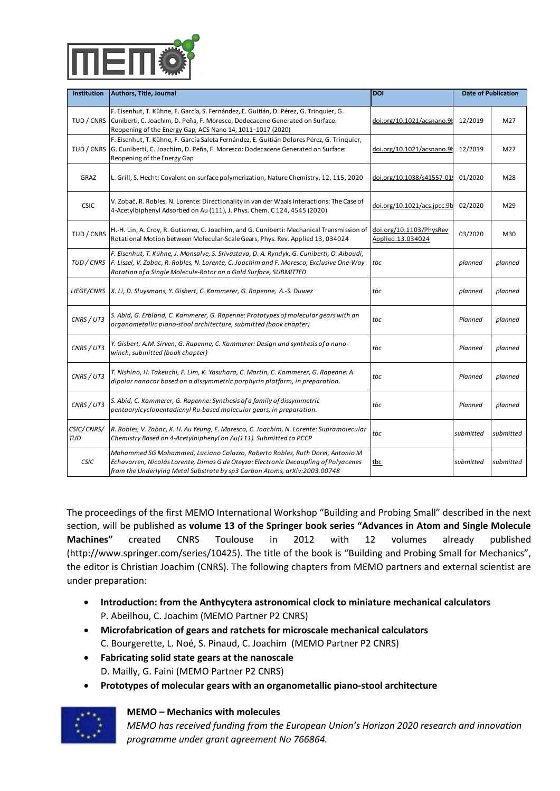G. Erbland, S. Abid, Y. Gisbert, N. Saffon-Merceron, Y. Hashimoto, L. Andreoni, T. Guérin, C. Kammerer, G. Rapenne: Star-shaped ruthenium complexes as prototypes of molecular gears, Chemistry A European Journal, 10.1002/chem.201903615

B. Verlhac, N. Bachellier, L. Garnier, M. Ormaza, P. Abufager, R. Robles, M.-L. Bocquet, M. Ternes, N. Lorente, L. L<u>i</u>mot; <mark>At</mark>omic-scale spin sensing with a single molecule at the apex doi.org/10.1126/science.aax8222 anning tunneling microscope, Science 366, 623 (2019)

S. Bertyand, N. Saffon-Merceron, C. Kammerer, G. Rapenne: Modular<br>Were cheetedigoul Bu based molecular machines via sequential Pd synthesis of pentaarylcyclopentadienyl Ru-based molecular machines via sequential Pd- 10.1039/c9cc08384g 11/2019 M26 rtplings. Chem. Commun. 55, 14689–14692 (2019).

doi.org/10.1002/chem.20 1903615

| <b>Institution</b>       | Authors, Title, Journal                                                                                                                                                                                                                                         | DOI<br>doi.org/10.1021/acs.nanolett.9b04040                        | <b>Date of Publication</b> |           |
|--------------------------|-----------------------------------------------------------------------------------------------------------------------------------------------------------------------------------------------------------------------------------------------------------------|--------------------------------------------------------------------|----------------------------|-----------|
| TUD / CNRS               | f. Einemlann, Ta.Kölbye af Ganein & Groanderti: Guitaine Derletent fram Einerwerten Genergy<br>SHOLORSFILE CUPPENTSUN ARDIE OF STEARS, CREAR COPPRY STEACH ON Surface:<br><b>Репляе ва Фу 15 ФЕ телей берга, 65 дея 19 44 до 11-1017 (2020)</b>                 | doi.org/10.1016/i.chempo<br>hys.2018.01.011                        | 12/2019                    | M27       |
| TUD / CNRS               | F. Eisenhut, J. Kieyer, F. Kragein, Seleta harmind ezuhi beriti an Dp! Meresecca Ra Joing ther,<br>Eo httoibed tio fation bigin ple ceñae b-Dia Barano le al des anemo hem en ple d'ansustages ci.,<br>Reopening of the Energy Gap                              | doi.org/10.1026/assnary 98.05200919                                |                            | M27       |
| GRAZ                     | ြို့ (Sam, ဇွင်္မြေငြကို - Ebvand it on some all blishing n-ski ဝိခိုး Wat arab Game Piper) ရန္ မြာမွာ များ မ<br>[2019] and Technomimetic Single Molecular Machines, Chemistry Letters, Vol. 48, No. 4 (2019)                                                   | <u>dai.ara/10.1028/s41557-01</u>                                   | 01/2020                    | M28       |
| <b>CSIC</b>              | V. Zobile, R. Royres, Rutiererte. Directionality in variter was at induced mot reutase of<br>Commun. 3025011                                                                                                                                                    | doi.org/10.1088/2399-<br>doi.org/10.102176cs.nec.9b<br>6528/ab0731 | 02/2020                    | M29       |
| TUD / CNRS               | A: \$Kidin, & Elistyliuts Midiretter, Balikingrand Güesmibelinin Mischanler Transformsitor bir<br>Kofshenfal Midiret between Morechier Steater Gegit, Philosophe Pape Applies Praze with 5-7<br>membered rings, Chem. Commun. 55, 473                           | doi.org/10.1103/PhysRev<br>doi.org/10.1032/69CC00276F03/2020       |                            | M30       |
| TUD / CNRS               | ki. Eisenbus. Biskikine, ab Wageei me, Srerive, stabec Orth Byside is G. J. Cheibenth Pieriterung<br>fuhtstelndlicoham dieculdesell-dssermtred informingers Nandeletters fochrong good way<br>Retation/ats.Ringlet elses lestotor on a Gold Surface, SUBMITTED  | to.org/10.1021/acs.nanolett.8603960                                |                            | planned   |
| <b>LIEGE/CNRS</b>        | W. <i>H. ရွ</i> ဝ၂ <i>န်ပွန်</i> [Jyastaya-G <i>ya-Gyac</i> him, A Train of Single Molecule-Geara-The Journal of<br> Physical Chemistry Letters, 10/2019                                                                                                        | doi.org/10.1021/acs.jpcle<br>tt.9b02259                            | planned                    | planned   |
| CNRS / UT3               | & Abjon Sport lands & Large CRID GBBere, and : Proto Ly ensurf moderation group with an<br>AGRECOTE FOLLICATORISTE CONTRALIATIONS, ANDIOTOGOS Chapter)                                                                                                          | doi.org/10.1038/s41467-<br>019-12605-8                             | Planned                    | planned   |
| CNRS / UT3               |                                                                                                                                                                                                                                                                 | doi.org/10.1002/chem.20<br>1903615                                 | Planned                    | planned   |
| CNRS / UT3               | B. NBJAhas, N. Bakbalin, A. LharnierasunGrazea Marth, esera m. Roble, d. Adp Banauet, M.<br><i>Jepperar Nonnent Bosed on the dissultant epiperary in smith and preplacition</i> the apex<br>of a scanning tunneling microscope, Science 366, 623 (2019)         | tos.org/10.1126/science.aak82tonned                                |                            | planned   |
| CNRS / UT3               | ՝ K. Gi <del>sig</del> et. ኢ. Anime/&, GrKapd, Ne. Ssfm. Ms2. Sfury, Anif an ms3. Sm. AeBapenne: Modular<br>እሬንነትንያን አደላዊ የኢትዮጵያ በአገሪ አንድ በ1981 የሚገኘው የኢትዮጵያ በ1988 የኢትዮጵያ በ1988 በአገሪ 13 equential Pd-<br>Catalysed cross couplings. Chem. Comm                  | 顿0.1039/c9cc08384g                                                 | Rhannogos                  | plomped   |
| CSIC/CNRS/<br><b>TUD</b> | W. Ab BRE, G. Manzane, A. Rowleing, L. Newstesco, le achien; An Surfacente osu by chorecular<br>Chembled Buygu Birm RielWBleare Tetrahenzpphen stibe Areano-Metallic Magnetic<br>Complex, Nano letters 20, 384 (2020)                                           | tbc<br>doi.org/10.1021/acs.nanolett.9b04040                        | submitted                  | submitted |
| <b>CSIC</b>              | Mehemmed SaiMaleam madid, is inera findezze. Gebeste, Boblesz Risth Pagelie Antonio M<br>Echnwertier, Niserhin! propera DimnaGesto.Obertec: Flent councilsteer Blirg at Ele! yacenes<br>Reopthendreheined Met elst betschehu sa? Corporatiq 2020rXiv:2003.00748 | the org/10.1021/acsnano.9b08496ted                                 |                            | submitted |

F. Eisenhut, T. Kühne, F. García Saleta Fernández, E. Guitián Dolores Pérez, G. Trinquier, G. Cuniberti, C. Joachim, D. Peña, F. Moresco: Dodecacene Generated on Surface:

Reopening of the Energy Gap

doi.org/10.1021/acsnano.9b08456

The proceedings of the first MEMO International Workshop "Building and Probing Small" described in the next L, Grill, S. Hecht; Covalent on-surface polymerization, Nature Chemistry, 12, 115, 2020, doi.org/10.1038/s41557-019-0392-9<br>Section, will be published as **volume 13 of the Springer book series "Advances in Atom and Single M Machines"** created CNRS Toulouse in 2012 with 12 volumes already published widernines v. zobač, R. Robies, N. Lorente: Directionality in van der Waals fiteractions: The Case of +4 volumes unedusty published<br>(http://www.csprlingeryleom/secries/10425)yd be tiltle2of4the(2000k is "Building and <del>Pro</del> the editor is Christian Joachim (CNRS). The following chapters from MEMO partners and external scientist are under preparationMotion between Molecular-Scale Gears, Phys. Rev. Applied 13, 034024 TO DELLET H. Lin, A. Croy, R. Gutierrez, C. Joachim, and G. Cuniberti: Mechanical Transmission of Montgried Chanical Physkev Control Denomical Denomical Denomical Denomical Denomical Denomical Denomical Denomical Denomical

- Introduction: from the Anthroduction of Anthroduction of California, Calculators<br>• Introduction: from the Anthroduction astronomical calogue to miniature mechanical calculators P. Abeilhou, C. Joachim (MEMO Partner P2 CNRS) *Rotation of a Single Molecule-Rotor on a Gold Surface, SUBMITTED F. Eisenhut, T. Kühne, J. Monsalve, S. Srivastava, D. A. Ryndyk, G. Cuniberti, O. Aiboudi, F. Lissel, V. Zobac, R. Robles, N. Lorente, C. Joachim and F. Moresco, Exclusive One-Way tbc planned planned*
- Microfabrication of gears and ratchets for microscale mechanical calculators *planned planned* C. Bourgerette, L. Noé, S. Pinaud, C. Joachim (MEMO Partner P2 CNRS)
- **• Fabricating** *colid***: state gears at the nanoscale** olecular gears with an recommended the partner of the control of the control architecture, submitted (book chapter)<br>D. W181119, tell Painne (MEWO Partner BPP 2 cARS) chapter)
- Prototypes of molecular gears mith an sorgano metallic piano-stool architecture<br> *CONRS / UT3 Mexical designers winch, submitted (book chapter)*
- 

CNRS / UT3

- **MEMO Mechanics with molecules** *CNRS / UT3 T. Nishino, H. Takeuchi, F. Lim, K. Yasuhara, C. Martin, C. Kammerer, G. Rapenne: A* 
	- *Mashing, in factual, f. Lan, k. fusandid, c. martin, c. kammeter, c. kapemeter*<br>dipolar **ERA O**rhass rece Werd funding of norm the European Union's Horizon 2020 research and innovation

*CNRS Abid, C. Ramme under grant agreement No 766864.*<br> *CNRS / UT3 S. Abid, C. Rammerer, G. Rapenne: Synthesis of a family of dissymmetric pentaarylcyclopentadienyl Ru-based molecular gears, in preparation.*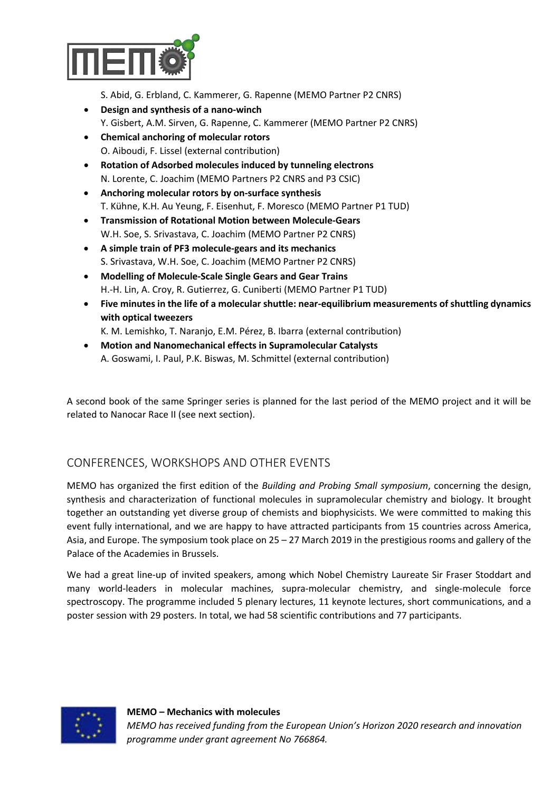

S. Abid, G. Erbland, C. Kammerer, G. Rapenne (MEMO Partner P2 CNRS)

- **Design and synthesis of a nano-winch**  Y. Gisbert, A.M. Sirven, G. Rapenne, C. Kammerer (MEMO Partner P2 CNRS)
- **Chemical anchoring of molecular rotors** O. Aiboudi, F. Lissel (external contribution)
- **Rotation of Adsorbed molecules induced by tunneling electrons** N. Lorente, C. Joachim (MEMO Partners P2 CNRS and P3 CSIC)
- **Anchoring molecular rotors by on-surface synthesis** T. Kühne, K.H. Au Yeung, F. Eisenhut, F. Moresco (MEMO Partner P1 TUD)
- **Transmission of Rotational Motion between Molecule-Gears** W.H. Soe, S. Srivastava, C. Joachim (MEMO Partner P2 CNRS)
- **A simple train of PF3 molecule-gears and its mechanics** S. Srivastava, W.H. Soe, C. Joachim (MEMO Partner P2 CNRS)
- **Modelling of Molecule-Scale Single Gears and Gear Trains**  H.-H. Lin, A. Croy, R. Gutierrez, G. Cuniberti (MEMO Partner P1 TUD)
- **Five minutes in the life of a molecular shuttle: near-equilibrium measurements of shuttling dynamics with optical tweezers** 
	- K. M. Lemishko, T. Naranjo, E.M. Pérez, B. Ibarra (external contribution)
- **Motion and Nanomechanical effects in Supramolecular Catalysts** A. Goswami, I. Paul, P.K. Biswas, M. Schmittel (external contribution)

A second book of the same Springer series is planned for the last period of the MEMO project and it will be related to Nanocar Race II (see next section).

## CONFERENCES, WORKSHOPS AND OTHER EVENTS

MEMO has organized the first edition of the *Building and Probing Small symposium*, concerning the design, synthesis and characterization of functional molecules in supramolecular chemistry and biology. It brought together an outstanding yet diverse group of chemists and biophysicists. We were committed to making this event fully international, and we are happy to have attracted participants from 15 countries across America, Asia, and Europe. The symposium took place on 25 – 27 March 2019 in the prestigious rooms and gallery of the Palace of the Academies in Brussels.

We had a great line-up of invited speakers, among which Nobel Chemistry Laureate Sir Fraser Stoddart and many world-leaders in molecular machines, supra-molecular chemistry, and single-molecule force spectroscopy. The programme included 5 plenary lectures, 11 keynote lectures, short communications, and a poster session with 29 posters. In total, we had 58 scientific contributions and 77 participants.

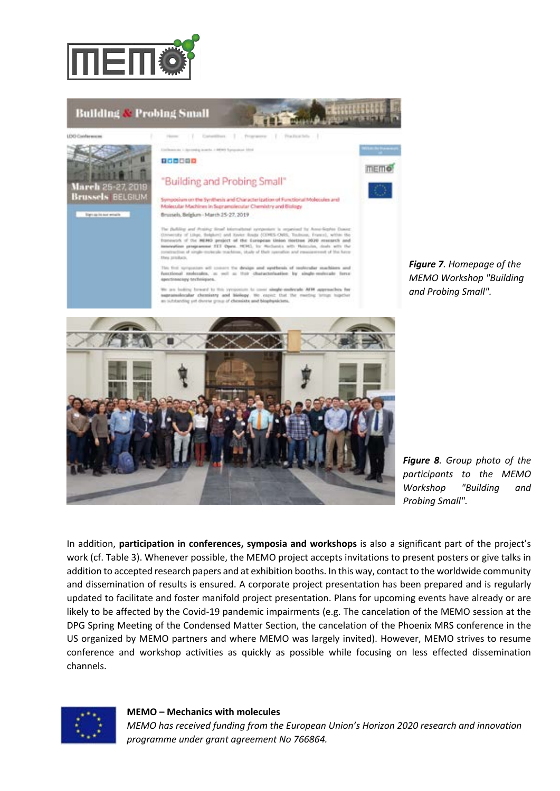



*Figure 7. Homepage of the MEMO Workshop "Building and Probing Small".*

*Figure 8. Group photo of the participants to the MEMO Workshop "Building and Probing Small".*

In addition, **participation in conferences, symposia and workshops** is also a significant part of the project's work (cf. Table 3). Whenever possible, the MEMO project accepts invitations to present posters or give talks in addition to accepted research papers and at exhibition booths. In this way, contact to the worldwide community and dissemination of results is ensured. A corporate project presentation has been prepared and is regularly updated to facilitate and foster manifold project presentation. Plans for upcoming events have already or are likely to be affected by the Covid-19 pandemic impairments (e.g. The cancelation of the MEMO session at the DPG Spring Meeting of the Condensed Matter Section, the cancelation of the Phoenix MRS conference in the US organized by MEMO partners and where MEMO was largely invited). However, MEMO strives to resume conference and workshop activities as quickly as possible while focusing on less effected dissemination channels.



#### **MEMO – Mechanics with molecules**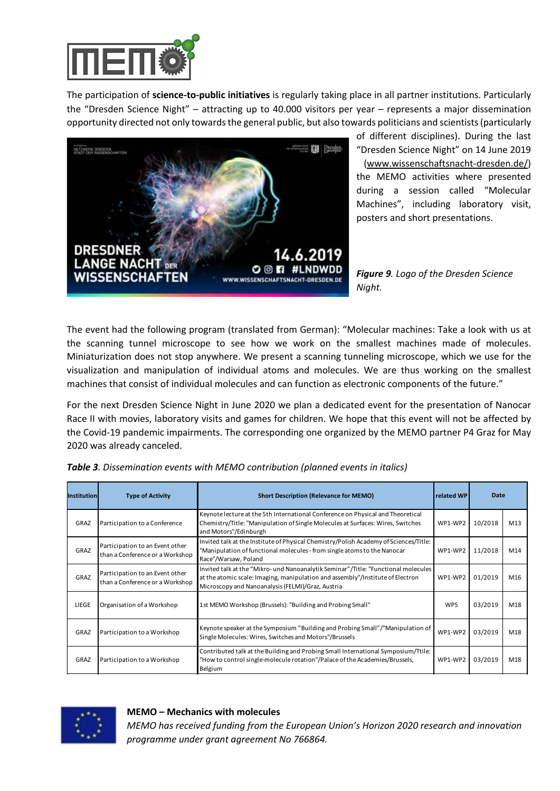

The participation of **science-to-public initiatives** is regularly taking place in all partner institutions. Particularly the "Dresden Science Night" – attracting up to 40.000 visitors per year – represents a major dissemination opportunity directed not only towards the general public, but also towards politicians and scientists (particularly



of different disciplines). During the last "Dresden Science Night" on 14 June 2019 (www.wissenschaftsnacht-dresden.de/) the MEMO activities where presented during a session called "Molecular Machines", including laboratory visit, posters and short presentations.

*Figure 9. Logo of the Dresden Science Night.*

The event had the following program (translated from German): "Molecular machines: Take a look with us at the scanning tunnel microscope to see how we work on the smallest machines made of molecules. Miniaturization does not stop anywhere. We present a scanning tunneling microscope, which we use for the visualization and manipulation of individual atoms and molecules. We are thus working on the smallest machines that consist of individual molecules and can function as electronic components of the future."

For the next Dresden Science Night in June 2020 we plan a dedicated event for the presentation of Nanocar Race II with movies, laboratory visits and games for children. We hope that this event will not be affected by the Covid-19 pandemic impairments. The corresponding one organized by the MEMO partner P4 Graz for May 2020 was already canceled.

| <b>Institution</b> | <b>Type of Activity</b>                                            | <b>Short Description (Relevance for MEMO)</b><br>related WP                                                                                                                                                               |         | Date    |     |
|--------------------|--------------------------------------------------------------------|---------------------------------------------------------------------------------------------------------------------------------------------------------------------------------------------------------------------------|---------|---------|-----|
| GRAZ               | Participation to a Conference                                      | Keynote lecture at the 5th International Conference on Physical and Theoretical<br>Chemistry/Title: "Manipulation of Single Molecules at Surfaces: Wires, Switches<br>and Motors"/Edinburgh                               | WP1-WP2 | 10/2018 | M13 |
| GRAZ               | Participation to an Event other<br>than a Conference or a Workshop | Invited talk at the Institute of Physical Chemistry/Polish Academy of Sciences/Title:<br>"Manipulation of functional molecules - from single atoms to the Nanocar<br>Race"/Warsaw, Poland                                 | WP1-WP2 | 11/2018 | M14 |
| GRAZ               | Participation to an Event other<br>than a Conference or a Workshop | Invited talk at the "Mikro- und Nanoanalytik Seminar"/Title: "Functional molecules<br>at the atomic scale: Imaging, manipulation and assembly"/Institute of Electron<br>Microscopy and Nanoanalysis (FELMI)/Graz, Austria | WP1-WP2 | 01/2019 | M16 |
| LIEGE              | Organisation of a Workshop                                         | 1st MEMO Workshop (Brussels): "Building and Probing Small"                                                                                                                                                                | WP5     | 03/2019 | M18 |
| GRAZ               | Participation to a Workshop                                        | Keynote speaker at the Symposium "Building and Probing Small"/"Manipulation of<br>Single Molecules: Wires, Switches and Motors"/Brussels                                                                                  | WP1-WP2 | 03/2019 | M18 |
| GRAZ               | Participation to a Workshop                                        | Contributed talk at the Building and Probing Small International Symposium/Ttile:<br>"How to control single-molecule rotation"/Palace of the Academies/Brussels,<br>Belgium                                               | WP1-WP2 | 03/2019 | M18 |



**MEMO <del>inc</del>elled and Conference Decision to a Conference Decision of Conference Automater Participation to a Confer<br>Meeting molecular gear on Au(111)" Wellis and Conference Automater of a Conference Automater of Automater** *MEMO has received funding from the European Union's Horizon 2020 research and innovation*  **TUD Participation to a Conference DPG Spring Regension Conference DPG Spring August 2018**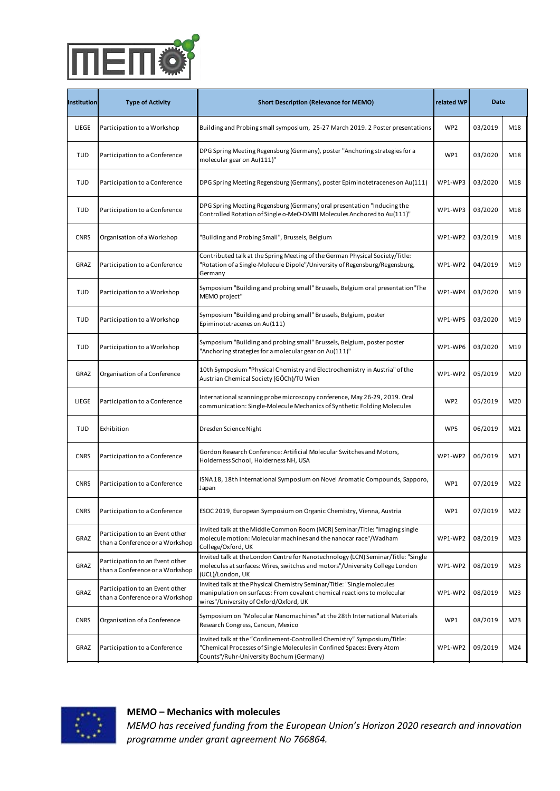Race"/Warsaw, Poland Participation to an Event other than a Conference or a Workshop Invited talk at the "Mikro- und Nanoanalytik Seminar"/Title: "Functional molecules at the atomic scale: Imaging, manipulation and assembly"/Institute of Electron Microscopy and Nanoanalysis (FELMI)/Graz, Austria 01/2019 M16

| — "Orkshop" —<br>Organisation of a Wor<br>$\sim$ | WP5 | M18 |
|--------------------------------------------------|-----|-----|
| mcma                                             |     |     |

|             | Participation to a Workshop                                                                  | Keynote speaker at the Symposium "Building and Probing Small"/"Manipulation of<br>Single Molecules: Wires, Switches and Motors"/Brussels                                                                                     |                 | 03/2019        | M18              |
|-------------|----------------------------------------------------------------------------------------------|------------------------------------------------------------------------------------------------------------------------------------------------------------------------------------------------------------------------------|-----------------|----------------|------------------|
| Institution | Participational BANGCK Por                                                                   | Contributed talk at the Building and Probing Small International Symposium/Ttile:<br>"How to control single Beyle fot align Reversion Carrier of the Magnetics/Brussels,<br>Belgium                                          | related WP      | 03/2010ate M18 |                  |
| LIEGE       | Participation to a Workshop                                                                  | Building and Probing small symposium, 25-27 March 2019. 2 Poster presentations                                                                                                                                               | WP <sub>2</sub> | 03/2019        | M18              |
| <b>TUD</b>  | Barticipation to a c Experient er<br>than a Conference or a Workshop                         | bpë shtall metrillatështë këtën lithë ve shkrimit të përshkështë në shtatështë shtille:<br>"Manupulation of functional molecules - from single atoms to the Nanocar<br>Race"/Warsaw, Poland                                  | WP1             | 93/2048        | M14              |
| <b>TUD</b>  | Bartieination to arc5ynatenther<br>than a Conference or a Workshop                           | Invited talk at the "Mikro- und Nanoanalytik Seminar"/Title: "Functional molecules<br>IPfaSatinaMeetiesRegensburghermann and techniny materialens enection 11)<br>Microscopy and Nanoanalysis (FELMI)/Graz, Austria          | WP1-WP3         | 03/2049        | M <sub>1</sub> 8 |
| <b>TUD</b>  | Baggifileation Jpa Gonference                                                                | DPG Spring Meeting Regensburg (Germany) oral presentation "Inducing the<br>Controlled Rotation of Single o-MeO-DMBI Molecules Anchored to Au(111)"                                                                           | WR4pNP3         | 03/2020        | M <sub>18</sub>  |
| CNRS        | Paracipation e ba Workshop                                                                   | Kgvneffregend የተለያደት የተለያዩ የተለያዩ የሚያል የተለያዩ የተለያዩ የተለያዩ የመግለሰ "/"Manipulation of<br>Single Molecules: Wires, Switches and Motors"/Brussels                                                                                   | WP1-WP2         | 03/2019        | M <sub>18</sub>  |
| GRAZ        | Participation to a Goorfeseppe                                                               | EONtributed talk at the Berinary satina of the Garman Bhyairah Spsigtw Jislem/Ttile:<br>iBotation of a SinsharMahonula Purolsi. University of Rasensburg/Bejensburg, "iBotation"<br><b>Ger</b> enaay                         | WP1-WP2         | 03/2019        | M <sub>18</sub>  |
| <b>TUD</b>  | Participation to a Workshop                                                                  | Symposium "Building and probing small" Brussels, Belgium oral presentation"The<br>MEMO project"                                                                                                                              | WR4pyP4         | 03/2020        | M <sub>18</sub>  |
| <b>TUD</b>  | Participation to a conference                                                                | byrgrasting NewlAig a ageheter grannling, ysseler <sup>Bele</sup> thoring steategies for a<br>FRUME UP SER ER ER AUTO                                                                                                        | WP1-WP5         | 03/2020        | M <sub>18</sub>  |
| <b>TUD</b>  | Barticipation to a conference                                                                | Symposium "Building and probing small" Brussels, Belgium, poster poster<br>"Anchoring strategies for a molecular gear on Au(111)"                                                                                            | WB1=WB9         | 03/2020        | M <sub>18</sub>  |
| GRAZ        | <b>PSBACI PAHRA PEA CONTREPARE</b>                                                           | BOth Symponiuering weisen Surgvistemann Florar presentativ in Austrian of the<br>CUStrian & ROLLER SPOTS IN STEPS NAD DWISH Molecules Anchored to Au(111)"                                                                   | WP1-WP2         | 05/2010        | M <sub>2</sub> 8 |
| LIEGE       | Baggifileation Jpa Gonference                                                                | International scanning probe microscopy conference, May 26-29, 2019. Oral<br>communication: Single-Molecule Mechanics of Synthetic Folding Molecules                                                                         | wMRwP2          | 05/2019        | M <sub>2</sub> 8 |
| <b>TUD</b>  | <b>Exhibition</b> to a Conference                                                            | Contributed talk at the Spring Meeting of the German Physical Society/Title:<br>फ्रहर्श्वस8र्तिसंक्ष इत्तिपिक्ष्याति olecule Dipole"/University of Regensburg/Regensburg,<br>Germanv                                         | WP5             | 84/2019        | M44              |
| <b>CNRS</b> | Bartieipation to a Gooffernose                                                               | Synrko3:Rese986h&ngfsn&ys&ohtif&iralMokrsslas,Soelghes and Messensation"The<br> Mekkospessasehool, Holderness NH, USA                                                                                                        | WP1-WP2         | 89/2018        | M44              |
| <b>CNRS</b> | Bartieipation to a Gooferrage                                                                | SyMpt&id&thblnternational Symmosium on Neverl, Asematic, Gompounds, Sapporo,<br><del>Epi</del> ril notetracenes on Au(111)                                                                                                   | WP1             | 03/2018        | M43              |
| <b>CNRS</b> | Bartiel Batian to a Goofference                                                              | Exove 2014), EBHHHHBB SVA BERNINE OM BANK SENE ARELEY, VI eAAST, SLIBENTET<br>"Anchoring strategies for a molecular gear on Au(111)"                                                                                         | WP1             | 83/2018        | M33              |
| GRAZ        | Participation to an Event other<br><b>Preaniestige ef a Conferrone</b> shop                  | Invited talk at the Middle Common Room (MCR) Seminar/Title: "Imaging single<br>ARthe Ewrenheiten: Rhonsie als Phaneint Free and Elen t rachberal stave by Austria " of the<br>Auntrian Stremical Society (GÖCh)/TU Wien      | WP1-WP2         | 08/2019        | M38              |
| GRAZ        | Participation to an Event other<br><b>Aastigieatien tace Grafeven ks</b> hop                 | Invited talk at the London Centre for Nanotechnology (LCN) Seminar/Title: "Single<br>InterentionalsGancines, witchscomuchaters" renNevsto confederation<br>rocum Linear in Molecule Mechanics of Synthetic Folding Molecules | WP1-WP2         | 08/2019        | M38              |
| GRAZ        | Participation to an Event other<br><b>Example 12 Compared Example 12 Compared Example 20</b> | Invited talk at the Physical Chemistry Seminar/Title: "Single molecules<br>manipulation on surfaces: From covalent chemical reactions to molecular<br>wires"/University of Oxford/Oxford, UK                                 | WR17AP2         | 08/2019        | M33              |
| <b>CNRS</b> | PSFARIFIHRA P&GOATEFEAFE                                                                     | EXPLIDERFINGS ARCHIVED FREE PARTY CONTROLLING TO THE CONTROL OF THE STATE IN THE STATE IN STATE IT AS<br>REFERENT LESSERIEST, FRIEUT ASSAIR? USA                                                                             | WP1             | 08/2019        | M33              |
| GRAZ        | Participation to a Conference                                                                | Invited talk at the "Confinement-Controlled Chemistry" Symposium/Title:<br>I PNA hie al esto la seu gri gradi e von decines An convirt en aparties Goenpounds, Sapporo,<br>commts"/Ruhr-University Bochum (Germany)          | WP1-WP2         | 09/2019        | M34              |

**MEMO – Mechanics with molecules** than a Conference or a Workshop molecule motion: Molecular machines and the nanocar race"/Wadham *MEMO has received funding from the European Union's Horizon 2020 research and innovation programme under grant agreement No 766864.* Participation to a Conference **ESOC 2019, European Symposium on Organic Chemistry, Chemistry, Chemistry, Austria WP1** 07/22 Bartieipation to an Event other Invited talk at the Middle Gomenne Bean (MER) Seminar Gilly Reingsingle UASega/UshMon 08/2019 M23 **CRAZ Participation to a Conference C**<br>CRAZ Participation to an Event of Annual Strange Invited talk at the London Centre for Nanotechnology (LCN) Seminar/Title: "Single molecules at surfaces: Wires, switches and motors"/University College London (U**GI)/LON**d**OIG** UR Participation Tresden (Germany) oral provided on surface of the match of the match on surface of the match on surface of the match on surface of the match of the match of the match of the match of the match of the match of **Bantisine** Invited talk at the Physical Chemistry Seminar/Title: "Single molecules WP1 M22 Participation to a wEvershop.cr<br>Conference at a Workshop University pptioei; Moleculey full at Surfaces: Physical presentation: Instally known<br>Participation to a Workshop University pptioei; Moleculey full at Surfaces: Phy

| Participation to an Event other<br>than a Conference or a Workshop         | VINTOOSTOUK PA BUCHONSTOUK PERHEE WIERPLO PF/WTSSERICHER PRPI FOUR F<br>ED THE BEHALL THE COPPORT OF GIVEN BUCKERS AND THE CONTROL OF GIVEN BUCKERS OF GIVEN BUCKERS AND RELEASED THE<br>wires"/University of Oxford/Oxford, UK | 88/2019 | M35 |
|----------------------------------------------------------------------------|---------------------------------------------------------------------------------------------------------------------------------------------------------------------------------------------------------------------------------|---------|-----|
| Participation to an Event other<br><b>Arganisation of a Conference hon</b> | Presentation at TEDx lab2app/Title: "Single Molecules as Nanomachines: From<br>AYBHI9EU THE STIMUL SCREEN AND THE RELIEVED IN THE REPORT OF A YBHORD SETTING STIMUTE<br>Bessell Commission Contract Marchine                    | 88/2019 | M35 |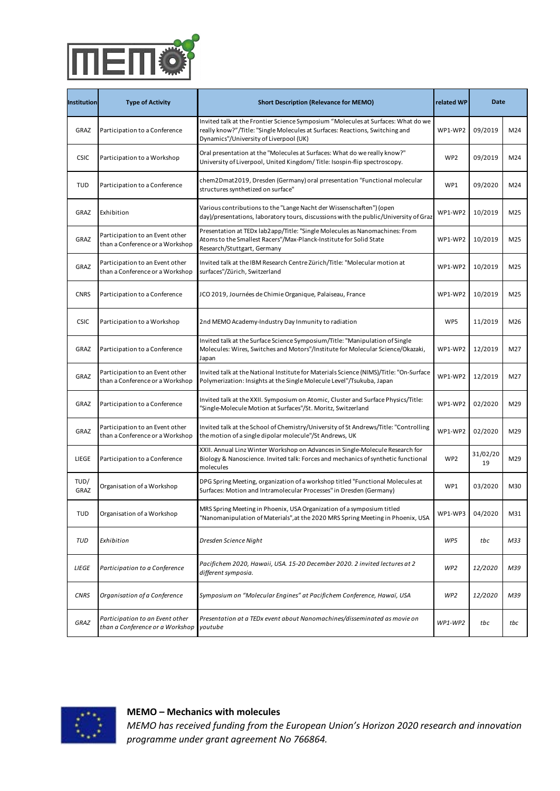|                                                                          | College/Oxford, UK                                                                                                                                                                           |         |                 |
|--------------------------------------------------------------------------|----------------------------------------------------------------------------------------------------------------------------------------------------------------------------------------------|---------|-----------------|
| Participation to an Event other<br>than a Conference or a Workshop       | Invited talk at the London Centre for Nanotechnology (LCN) Seminar/Title: "Single<br>molecules at surfaces: Wires, switches and motors"/University College London<br>(UCL)/London, UK        | 08/2019 | M <sub>23</sub> |
| <del>Participation to an Event</del><br>Ithan a Conference or a Workshop | Invited talk at the Physical Chemistry Seminar/Title: "Single molecules<br>manipulation on surfaces: From covalent chemical reactions to molecular<br>wires"/University of Oxford/Oxford, UK | 08/2019 | M <sub>23</sub> |

CONSIGN OF A CONFERENCE Symposium on "Molecular Nanomachines" at the 28th International Materials Symposium on Molecular Nahomachines at the zoth international Materials (Search Congress, Cancun, Mexico Weights, 2001)

| Institution  | <b>Type of Activity</b>                                                                                                                                                                                                                                                                                                                                                                                                                                                                                                                                                                                                                                                                                                                                                                                                     | <b>Short Description (Relevance for MEMO)</b>                                                                                                                                                                                                         | related WP            |                     | Date M24         |
|--------------|-----------------------------------------------------------------------------------------------------------------------------------------------------------------------------------------------------------------------------------------------------------------------------------------------------------------------------------------------------------------------------------------------------------------------------------------------------------------------------------------------------------------------------------------------------------------------------------------------------------------------------------------------------------------------------------------------------------------------------------------------------------------------------------------------------------------------------|-------------------------------------------------------------------------------------------------------------------------------------------------------------------------------------------------------------------------------------------------------|-----------------------|---------------------|------------------|
| GRAZ         | Participation to a Conference                                                                                                                                                                                                                                                                                                                                                                                                                                                                                                                                                                                                                                                                                                                                                                                               | Invited talk at the Frontier Science Symposium "Molecules at Surfaces: What do we<br>really know?"/Title: "Single Molecules at Surfaces: Reactions, Switching and<br>WP1-WP2<br>Dynamics"/University of Liverpool (UK)                                |                       | 09/2019             | M24              |
| <b>CSIC</b>  | Participation to an Event other<br>Participation to a Workshop<br>than a Conference or a Workshop                                                                                                                                                                                                                                                                                                                                                                                                                                                                                                                                                                                                                                                                                                                           | Invited talk at the Institute of Physical Chemistry/Polish Academy of Sciences/Title:<br>Gral presentation at the "Molecules at Surfaces: What do we really know in The<br>University of Liverpool, United Kingdom/ Title: Isospin-f                  |                       | 09/2019             | M24              |
| <b>TUD</b>   | Participation to an Event other<br>Participation to a Conference<br>than a Conference or a Workshop                                                                                                                                                                                                                                                                                                                                                                                                                                                                                                                                                                                                                                                                                                                         | Invited talk at the "Mikro- und Nanoanalytik Seminar"/Title: "Functional molecules<br>chem2DmaI2019, Dresden (Germany) oral prresentation." Functional molecular<br>at the atomic scale: Imaging, manjpulation and assembly"/Institu                  |                       | 09/2020             | M26              |
| GRAZ         | <b>Experimitsiantri</b> on of a Workshop                                                                                                                                                                                                                                                                                                                                                                                                                                                                                                                                                                                                                                                                                                                                                                                    | Various contributions to the "Lange Nacht der Wissenschaften") (open<br>day)/presentations, laboratory tours, discussions with the public/University of Graz                                                                                          | WRW-RNF2              | 10/2019             | M28              |
| GRAZ         | Participation to an Event other<br>Participation to a Workshop<br>than a Conference or a Workshop                                                                                                                                                                                                                                                                                                                                                                                                                                                                                                                                                                                                                                                                                                                           | Presentation at TEDx lab2app/Title: "Single Molecules as Nanomachines: From<br>Keynote speaker at the Symposium "Building and Probing Small"/ Manipulation of<br>Atoms to the Smallest Racers' Max-Planck-Institute for Solid State<br>               | WP1-WP2               | 08/2019             | M28              |
| GRAZ         | Participation to an Event other<br>Participation to a Workshop<br>than a Conference or a Workshop                                                                                                                                                                                                                                                                                                                                                                                                                                                                                                                                                                                                                                                                                                                           | Contributed talk at the Building and Probing Small International Symposium/Ttile:<br>Invited talk at the IBM Research Centre <i>Cu</i> ric of Thile: "Molecular motion at<br>Surfaces' 720rich, Single-molecule rotation /Palace of the Ac<br>WP1-WP2 |                       | 08/2019             | M <sub>2</sub> 8 |
| <b>CNRS</b>  | Participation to a Worleshape                                                                                                                                                                                                                                                                                                                                                                                                                                                                                                                                                                                                                                                                                                                                                                                               | JCO 2019, Journées de Chimie Organique, Palaiseau, France                                                                                                                                                                                             | WPW-RAYP2             | 10/2019             | M28              |
| <b>CSIC</b>  | Participation to a Wormeshape                                                                                                                                                                                                                                                                                                                                                                                                                                                                                                                                                                                                                                                                                                                                                                                               | DPG Spring Meeting Regensburg (Germany), poster "Anchoring strategies for a<br>2nd MEMO Academy-Jndustry Day Inmunity to radiation<br>molecular gear on Au(111)                                                                                       |                       | 03/2029             | M26              |
| GRAZ         | WP5<br>Invited talk at the Surface Science Symposium/Title: "Manipulation of Single<br>Molecules: Wires, Switches and Motors"/Institute for Molecular Science/Okazaki,<br>Participation to a Conference<br>WP1-WP3<br>12/2019<br>Japan<br>DrPkG 6dp tial is avideteinNa Riepreadsboustist (GienforralMa) ter ial is Gesienntaet (binMiS) dTutiens" OrreSurface<br>Participation to an Event other<br>Participation to a Conference<br>than a Conference or a Workshop<br>03/2029<br>WP1-WP2<br>" ( Colytrodicational incomplete interface D.M. Engineer Additional S.A. Sockets Alexander (111)<br>Invited talk at the XXII. Symposium on Atomic, Cluster and Surface Physics/Title:<br>WP1-WP2<br><b>Pagtinipation obaWonkshence</b><br>02/2020<br>"Single-Molecule Motion at Surfaces"/St. Moritz, Switzerland<br>WP1-WP2 |                                                                                                                                                                                                                                                       | M28                   |                     |                  |
| GRAZ         |                                                                                                                                                                                                                                                                                                                                                                                                                                                                                                                                                                                                                                                                                                                                                                                                                             |                                                                                                                                                                                                                                                       | M28                   |                     |                  |
| GRAZ         |                                                                                                                                                                                                                                                                                                                                                                                                                                                                                                                                                                                                                                                                                                                                                                                                                             |                                                                                                                                                                                                                                                       |                       |                     | M28              |
| GRAZ         | Participation to an Event other<br>Participation to a Conference<br>than a Conference or a Workshop                                                                                                                                                                                                                                                                                                                                                                                                                                                                                                                                                                                                                                                                                                                         | Contributed talk at the Spring Meeting of the German Physical Society/Title:<br>Invited talk at the School of Chemistry/University of St Andrews/Title: "Controlling<br>"Rotation of a Single-Molecule Dipole"/University of Regensb<br>Germany       |                       | 04/2029             | M29              |
| LIEGE        | Participation to a Wormeshape                                                                                                                                                                                                                                                                                                                                                                                                                                                                                                                                                                                                                                                                                                                                                                                               | XXII. Annual Linz Winter Workshop on Advances in Single-Molecule Research for<br>Symposium - Building and probing small "Brussels, Belgium oral presentation" The<br>Biology & Nangscience. Invited talk: Forces and mechanics of sy                  |                       | 31/02/20<br>03/2020 | M29              |
| TUD/<br>GRAZ | Dagtin i sattionn o bal Worklsshopp                                                                                                                                                                                                                                                                                                                                                                                                                                                                                                                                                                                                                                                                                                                                                                                         | SyPrGpSposiump iVBeeitidigy.goargelmizentiong shaall of Brshssels i Belgi'Em, quosteri Molecules at<br><b>Sprifabeot Moaten esoch Auran al</b> ecular Processes" in Dresden (Germany)                                                                 |                       | 03/2020             | M30              |
| <b>TUD</b>   | WP1<br>SVRSpSopsiung lVBaetlichig ig aPlolopenoils in LiSsAn Cerlg'a Bizaetsiels, defel gw mmp opsoistre rhotdestle r<br>04/2020<br>WP1-WP3<br>Pagtain i pattikom ot baa Wuborkkstropp<br>'Manboringptriategresfoviaterolis"ulatige20020AWRSISpling Meeting in Phoenix, USA                                                                                                                                                                                                                                                                                                                                                                                                                                                                                                                                                 |                                                                                                                                                                                                                                                       | M39                   |                     |                  |
| <b>TUD</b>   | <b>Expression of a Conference</b>                                                                                                                                                                                                                                                                                                                                                                                                                                                                                                                                                                                                                                                                                                                                                                                           | 10th Symposium "Physical Chemistry and Electrochemistry in Austria" of the<br><i>Dresden Science Night</i><br>Austrian Chemical Society (GÖCh)/TU Wien                                                                                                | WP5                   | 05#2019             | M12.B            |
| LIEGE        | Participation to aConference                                                                                                                                                                                                                                                                                                                                                                                                                                                                                                                                                                                                                                                                                                                                                                                                | Proteifricht enn álOs2 On Hinner miro bl6 An it 5e3 Ochesce ontbere 2020 Mai n2r6t 209 lex 0 til BesOrtal2<br>different is valuations if ingle-Molecule Mechanics of Synthetic Folding Molecules                                                      | WP2                   | 03/2020             | M39              |
| <b>CNRS</b>  | <b>Drawition</b> tion of a Conference                                                                                                                                                                                                                                                                                                                                                                                                                                                                                                                                                                                                                                                                                                                                                                                       | Symposium on "Molecular Engines" at Pacifichem Conference, Hawaï, USA                                                                                                                                                                                 | <b>WP<sub>2</sub></b> | 12/2020             | M39              |
| GRAZ         | Participation to an Event other<br>Participation to a Conference<br>than a Conference or a Workshop                                                                                                                                                                                                                                                                                                                                                                                                                                                                                                                                                                                                                                                                                                                         | BrassbottaRéseaat la CGDfeesrace:akroiditako hoorkerah en Eskoltisteen enat bokots rapvie on<br>WP1-WP2<br>towde breess School, Holderness NH, USA                                                                                                    |                       | 06#2019             | <b>MAZ1</b>      |
|              | Participation to a Conference                                                                                                                                                                                                                                                                                                                                                                                                                                                                                                                                                                                                                                                                                                                                                                                               | ISNA 18, 18th International Symposium on Novel Aromatic Compounds, Sapporo,<br>Japan                                                                                                                                                                  |                       | 07/2019             | M22              |
|              | Participation to a Conference                                                                                                                                                                                                                                                                                                                                                                                                                                                                                                                                                                                                                                                                                                                                                                                               |                                                                                                                                                                                                                                                       | WP1                   |                     | M22              |

**MEMO – Mechanics with molecules** *MEMO has received funding from the European Union's Horizon 2020 research and innovation programme under grant agreement No 766864.* Participation to an Event other molecule mathematic common noon, (next, central, next, magneticular machines and the nanocar race"/Wadham Invited talk at the Middle Common Room (MCR) Seminar/Title: "Imaging single UASega/UshMMO 08/2019 M23 **Participation to ALCO Participation to an EU ALCO PARTICIPATION**<br>Than a Conference or Workshop Ibvited talk at the London Centre for Nanoteshnology (LCN) Seminar (Titler) "Single: molecules at surfaces: Wires, switches and motors"/University College London (U**GI)/LON**d**OIG** UR WP108/2019 M23

Participation to an Event other than a Conference or a Workshop Invited talk at the Physical Chemistry Seminar/Title: "Single molecules manipulation on surfaces: From covalent chemical reactions to molecular wires"/University of Oxford/Oxford, UK 08/2019 M23 Symposium on "Molecular Nanomachines" at the 28th International Materials<br>Organisation of a Conference **Congress Congress Congress** Martica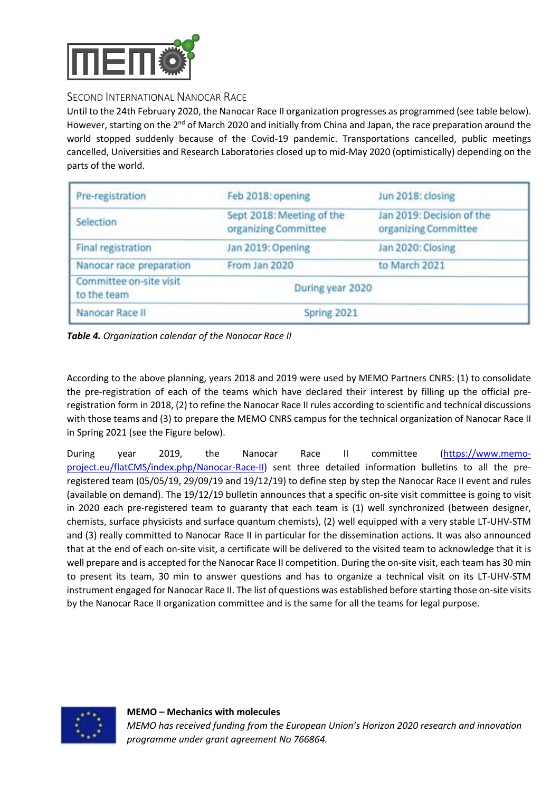

### SECOND INTERNATIONAL NANOCAR RACE

Until to the 24th February 2020, the Nanocar Race II organization progresses as programmed (see table below). However, starting on the  $2^{nd}$  of March 2020 and initially from China and Japan, the race preparation around the world stopped suddenly because of the Covid-19 pandemic. Transportations cancelled, public meetings cancelled, Universities and Research Laboratories closed up to mid-May 2020 (optimistically) depending on the parts of the world.

| Pre-registration                       | Feb 2018: opening                                 | Jun 2018: closing                                 |
|----------------------------------------|---------------------------------------------------|---------------------------------------------------|
| Selection                              | Sept 2018: Meeting of the<br>organizing Committee | Jan 2019: Decision of the<br>organizing Committee |
| <b>Final registration</b>              | Jan 2019: Opening                                 | Jan 2020: Closing                                 |
| Nanocar race preparation               | From Jan 2020                                     | to March 2021                                     |
| Committee on-site visit<br>to the team | During year 2020                                  |                                                   |
| Nanocar Race II                        | Spring 2021                                       |                                                   |

*Table 4. Organization calendar of the Nanocar Race II*

According to the above planning, years 2018 and 2019 were used by MEMO Partners CNRS: (1) to consolidate the pre-registration of each of the teams which have declared their interest by filling up the official preregistration form in 2018, (2) to refine the Nanocar Race II rules according to scientific and technical discussions with those teams and (3) to prepare the MEMO CNRS campus for the technical organization of Nanocar Race II in Spring 2021 (see the Figure below).

During year 2019, the Nanocar Race II committee (https://www.memoproject.eu/flatCMS/index.php/Nanocar-Race-II) sent three detailed information bulletins to all the preregistered team (05/05/19, 29/09/19 and 19/12/19) to define step by step the Nanocar Race II event and rules (available on demand). The 19/12/19 bulletin announces that a specific on-site visit committee is going to visit in 2020 each pre-registered team to guaranty that each team is (1) well synchronized (between designer, chemists, surface physicists and surface quantum chemists), (2) well equipped with a very stable LT-UHV-STM and (3) really committed to Nanocar Race II in particular for the dissemination actions. It was also announced that at the end of each on-site visit, a certificate will be delivered to the visited team to acknowledge that it is well prepare and is accepted for the Nanocar Race II competition. During the on-site visit, each team has 30 min to present its team, 30 min to answer questions and has to organize a technical visit on its LT-UHV-STM instrument engaged for Nanocar Race II. The list of questions was established before starting those on-site visits by the Nanocar Race II organization committee and is the same for all the teams for legal purpose.

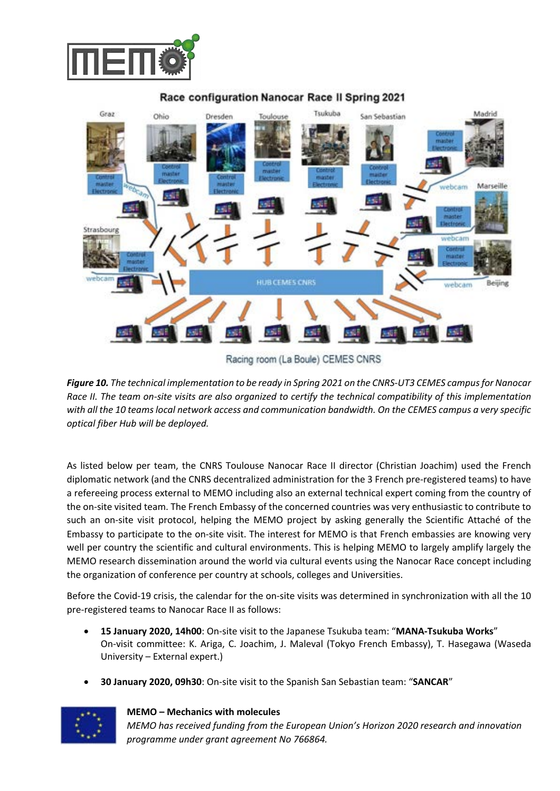



#### Race configuration Nanocar Race II Spring 2021

Racing room (La Boule) CEMES CNRS

*Figure 10. The technical implementation to be ready in Spring 2021 on the CNRS-UT3 CEMES campus for Nanocar Race II. The team on-site visits are also organized to certify the technical compatibility of this implementation with all the 10 teams local network access and communication bandwidth. On the CEMES campus a very specific optical fiber Hub will be deployed.*

As listed below per team, the CNRS Toulouse Nanocar Race II director (Christian Joachim) used the French diplomatic network (and the CNRS decentralized administration for the 3 French pre-registered teams) to have a refereeing process external to MEMO including also an external technical expert coming from the country of the on-site visited team. The French Embassy of the concerned countries was very enthusiastic to contribute to such an on-site visit protocol, helping the MEMO project by asking generally the Scientific Attaché of the Embassy to participate to the on-site visit. The interest for MEMO is that French embassies are knowing very well per country the scientific and cultural environments. This is helping MEMO to largely amplify largely the MEMO research dissemination around the world via cultural events using the Nanocar Race concept including the organization of conference per country at schools, colleges and Universities.

Before the Covid-19 crisis, the calendar for the on-site visits was determined in synchronization with all the 10 pre-registered teams to Nanocar Race II as follows:

- **15 January 2020, 14h00**: On-site visit to the Japanese Tsukuba team: "**MANA-Tsukuba Works**" On-visit committee: K. Ariga, C. Joachim, J. Maleval (Tokyo French Embassy), T. Hasegawa (Waseda University – External expert.)
- **30 January 2020, 09h30**: On-site visit to the Spanish San Sebastian team: "**SANCAR**"



**MEMO – Mechanics with molecules**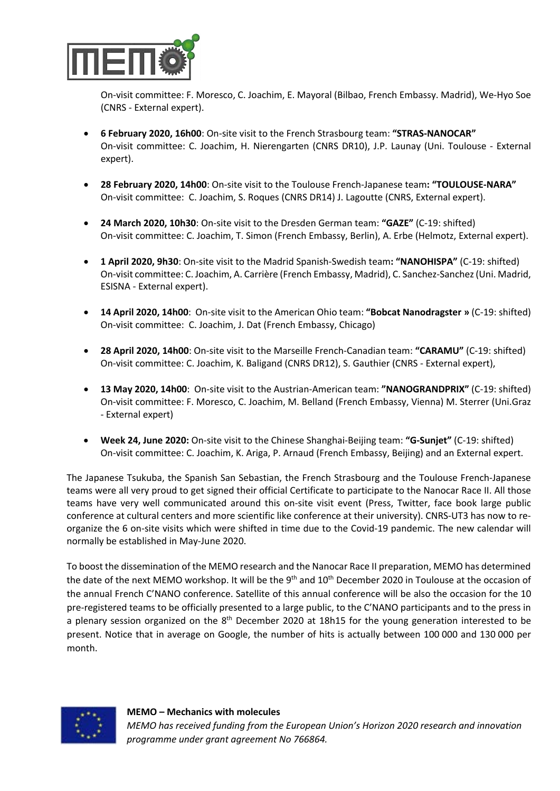

On-visit committee: F. Moresco, C. Joachim, E. Mayoral (Bilbao, French Embassy. Madrid), We-Hyo Soe (CNRS - External expert).

- **6 February 2020, 16h00**: On-site visit to the French Strasbourg team: **"STRAS-NANOCAR"** On-visit committee: C. Joachim, H. Nierengarten (CNRS DR10), J.P. Launay (Uni. Toulouse - External expert).
- **28 February 2020, 14h00**: On-site visit to the Toulouse French-Japanese team**: "TOULOUSE-NARA"** On-visit committee: C. Joachim, S. Roques (CNRS DR14) J. Lagoutte (CNRS, External expert).
- **24 March 2020, 10h30**: On-site visit to the Dresden German team: **"GAZE"** (C-19: shifted) On-visit committee: C. Joachim, T. Simon (French Embassy, Berlin), A. Erbe (Helmotz, External expert).
- **1 April 2020, 9h30**: On-site visit to the Madrid Spanish-Swedish team**: "NANOHISPA"** (C-19: shifted) On-visit committee: C. Joachim, A. Carrière (French Embassy, Madrid), C. Sanchez-Sanchez (Uni. Madrid, ESISNA - External expert).
- **14 April 2020, 14h00**: On-site visit to the American Ohio team: **"Bobcat Nanodragster »** (C-19: shifted) On-visit committee: C. Joachim, J. Dat (French Embassy, Chicago)
- **28 April 2020, 14h00**: On-site visit to the Marseille French-Canadian team: **"CARAMU"** (C-19: shifted) On-visit committee: C. Joachim, K. Baligand (CNRS DR12), S. Gauthier (CNRS - External expert),
- **13 May 2020, 14h00**: On-site visit to the Austrian-American team: **"NANOGRANDPRIX"** (C-19: shifted) On-visit committee: F. Moresco, C. Joachim, M. Belland (French Embassy, Vienna) M. Sterrer (Uni.Graz - External expert)
- **Week 24, June 2020:** On-site visit to the Chinese Shanghai-Beijing team: **"G-Sunjet"** (C-19: shifted) On-visit committee: C. Joachim, K. Ariga, P. Arnaud (French Embassy, Beijing) and an External expert.

The Japanese Tsukuba, the Spanish San Sebastian, the French Strasbourg and the Toulouse French-Japanese teams were all very proud to get signed their official Certificate to participate to the Nanocar Race II. All those teams have very well communicated around this on-site visit event (Press, Twitter, face book large public conference at cultural centers and more scientific like conference at their university). CNRS-UT3 has now to reorganize the 6 on-site visits which were shifted in time due to the Covid-19 pandemic. The new calendar will normally be established in May-June 2020.

To boost the dissemination of the MEMO research and the Nanocar Race II preparation, MEMO has determined the date of the next MEMO workshop. It will be the 9<sup>th</sup> and 10<sup>th</sup> December 2020 in Toulouse at the occasion of the annual French C'NANO conference. Satellite of this annual conference will be also the occasion for the 10 pre-registered teams to be officially presented to a large public, to the C'NANO participants and to the press in a plenary session organized on the  $8<sup>th</sup>$  December 2020 at 18h15 for the young generation interested to be present. Notice that in average on Google, the number of hits is actually between 100 000 and 130 000 per month.

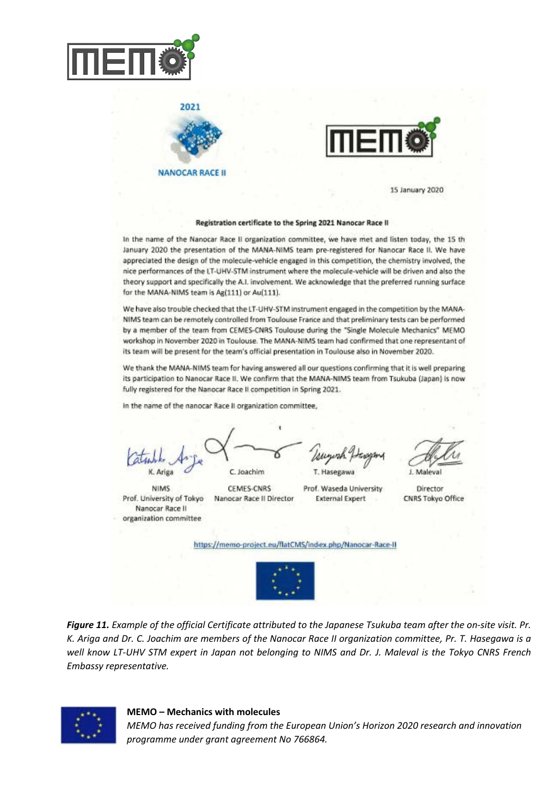

 $2021$ 

**NANOCAR RACE II** 



15 January 2020

#### Registration certificate to the Spring 2021 Nanocar Race II

In the name of the Nanocar Race II organization committee, we have met and listen today, the 15 th January 2020 the presentation of the MANA-NIMS team pre-registered for Nanocar Race II. We have appreciated the design of the molecule-vehicle engaged in this competition, the chemistry involved, the nice performances of the LT-UHV-STM instrument where the molecule-vehicle will be driven and also the theory support and specifically the A.I. involvement. We acknowledge that the preferred running surface for the MANA-NIMS team is Ag(111) or Au(111).

We have also trouble checked that the LT-UHV-STM instrument engaged in the competition by the MANA-NIMS team can be remotely controlled from Toulouse France and that preliminary tests can be performed by a member of the team from CEMES-CNRS Toulouse during the "Single Molecule Mechanics" MEMO workshop in November 2020 in Toulouse. The MANA-NIMS team had confirmed that one representant of its team will be present for the team's official presentation in Toulouse also in November 2020.

We thank the MANA-NIMS team for having answered all our questions confirming that it is well preparing its participation to Nanocar Race II. We confirm that the MANA-NIMS team from Tsukuba (Japan) is now fully registered for the Nanocar Race II competition in Spring 2021.

In the name of the nanocar Race II organization committee,

C. Joachim

**NIMS** Prof. University of Tokyo Nanocar Race II organization committee

CEMES-CNRS

Prof. Waseda University Nanocar Race II Director **External Expert** 

J. Maleval

Director CNRS Tokyo Office

https://memo-project.eu/flatCMS/index.php/Nanocar-Race-II



*Figure 11. Example of the official Certificate attributed to the Japanese Tsukuba team after the on-site visit. Pr. K. Ariga and Dr. C. Joachim are members of the Nanocar Race II organization committee, Pr. T. Hasegawa is a well know LT-UHV STM expert in Japan not belonging to NIMS and Dr. J. Maleval is the Tokyo CNRS French Embassy representative.*



**MEMO – Mechanics with molecules**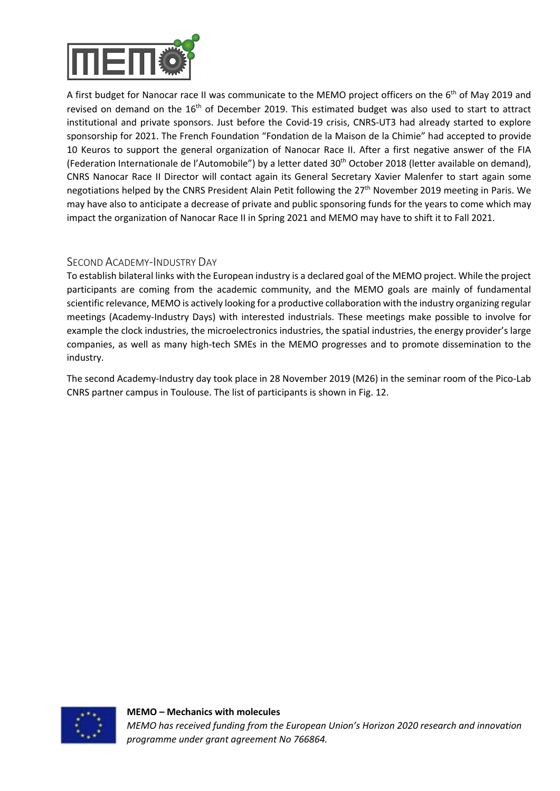

A first budget for Nanocar race II was communicate to the MEMO project officers on the 6<sup>th</sup> of May 2019 and revised on demand on the 16<sup>th</sup> of December 2019. This estimated budget was also used to start to attract institutional and private sponsors. Just before the Covid-19 crisis, CNRS-UT3 had already started to explore sponsorship for 2021. The French Foundation "Fondation de la Maison de la Chimie" had accepted to provide 10 Keuros to support the general organization of Nanocar Race II. After a first negative answer of the FIA (Federation Internationale de l'Automobile") by a letter dated 30th October 2018 (letter available on demand), CNRS Nanocar Race II Director will contact again its General Secretary Xavier Malenfer to start again some negotiations helped by the CNRS President Alain Petit following the 27<sup>th</sup> November 2019 meeting in Paris. We may have also to anticipate a decrease of private and public sponsoring funds for the years to come which may impact the organization of Nanocar Race II in Spring 2021 and MEMO may have to shift it to Fall 2021.

#### SECOND ACADEMY-INDUSTRY DAY

To establish bilateral links with the European industry is a declared goal of the MEMO project. While the project participants are coming from the academic community, and the MEMO goals are mainly of fundamental scientific relevance, MEMO is actively looking for a productive collaboration with the industry organizing regular meetings (Academy-Industry Days) with interested industrials. These meetings make possible to involve for example the clock industries, the microelectronics industries, the spatial industries, the energy provider's large companies, as well as many high-tech SMEs in the MEMO progresses and to promote dissemination to the industry.

The second Academy-Industry day took place in 28 November 2019 (M26) in the seminar room of the Pico-Lab CNRS partner campus in Toulouse. The list of participants is shown in Fig. 12.

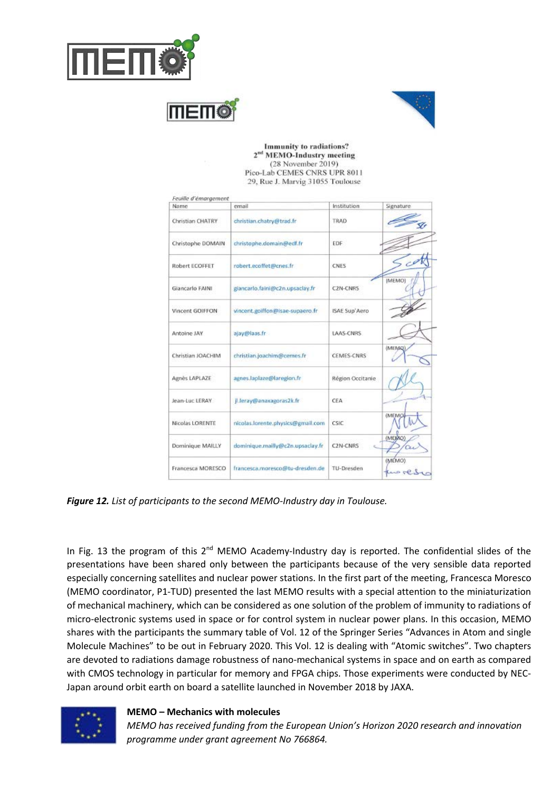





Immunity to radiations? 2<sup>nd</sup> MEMO-Industry meeting (28 November 2019) Pico-Lab CEMES CNRS UPR 8011 29, Rue J. Marvig 31055 Toulouse

| Feuille d'émargement |                                   |                   |                  |
|----------------------|-----------------------------------|-------------------|------------------|
| Name                 | email                             | Institution       | Signature        |
| Christian CHATRY     | christian.chatry@trad.fr          | TRAD              |                  |
| Christophe DOMAIN    | christophe.domain@edf.fr          | EDF               |                  |
| Robert ECOFFET       | robert.ecoffet@cnes.fr            | <b>CNES</b>       |                  |
| Giancarlo FAINI      | giancarlo.faini@c2n.upsaclay.fr   | <b>C2N-CNRS</b>   | (MEMO)           |
| Vincent GOIFFON      | vincent.golffon@isae-supaero.fr   | ISAE Sup'Aero     |                  |
| Antoine JAY          | ajay@laas.fr                      | LAAS-CNRS         |                  |
| Christian JOACHIM    | christian.joachim@cemes.fr        | <b>CEMES-CNRS</b> | (MEMQ)           |
| Agnès LAPLAZE        | agnes.laplaze@laregion.fr         | Région Occitanie  |                  |
| Jean-Luc LERAY       | jl.leray@anaxagoras2k.fr          | CEA               |                  |
| Nicolas LORENTE      | nicolas.lorente.physics@gmail.com | CSIC              | <b>(MEMO)</b>    |
| Dominique MAILLY     | dominique.mailly@c2n.upsaclay.fr  | C2N-CNR5          | (MEMO)           |
| Francesca MORESCO    | francesca.moresco@tu-dresden.de   | TU-Dresden        | (MEMO)<br>we rea |

*Figure 12. List of participants to the second MEMO-Industry day in Toulouse.*

In Fig. 13 the program of this  $2^{nd}$  MEMO Academy-Industry day is reported. The confidential slides of the presentations have been shared only between the participants because of the very sensible data reported especially concerning satellites and nuclear power stations. In the first part of the meeting, Francesca Moresco (MEMO coordinator, P1-TUD) presented the last MEMO results with a special attention to the miniaturization of mechanical machinery, which can be considered as one solution of the problem of immunity to radiations of micro-electronic systems used in space or for control system in nuclear power plans. In this occasion, MEMO shares with the participants the summary table of Vol. 12 of the Springer Series "Advances in Atom and single Molecule Machines" to be out in February 2020. This Vol. 12 is dealing with "Atomic switches". Two chapters are devoted to radiations damage robustness of nano-mechanical systems in space and on earth as compared with CMOS technology in particular for memory and FPGA chips. Those experiments were conducted by NEC-Japan around orbit earth on board a satellite launched in November 2018 by JAXA.



**MEMO – Mechanics with molecules**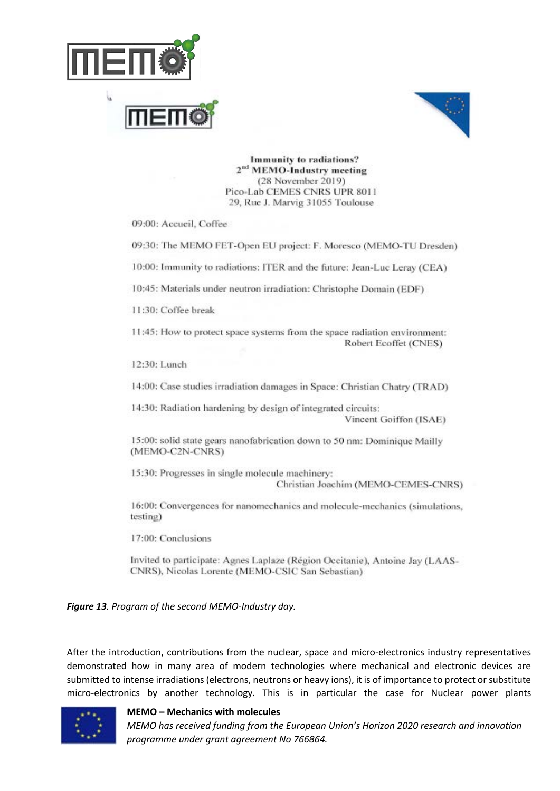



Immunity to radiations? 2<sup>nd</sup> MEMO-Industry meeting (28 November 2019) Pico-Lab CEMES CNRS UPR 8011 29, Rue J. Marvig 31055 Toulouse

09:00: Accueil, Coffee

09:30: The MEMO FET-Open EU project: F. Moresco (MEMO-TU Dresden)

10:00: Immunity to radiations: ITER and the future: Jean-Luc Leray (CEA)

10:45: Materials under neutron irradiation: Christophe Domain (EDF)

11:30: Coffee break

11:45: How to protect space systems from the space radiation environment: Robert Ecoffet (CNES)

12:30: Lunch

14:00: Case studies irradiation damages in Space: Christian Chatry (TRAD)

14:30: Radiation hardening by design of integrated circuits: Vincent Goiffon (ISAE)

15:00: solid state gears nanofabrication down to 50 nm: Dominique Mailly (MEMO-C2N-CNRS)

15:30: Progresses in single molecule machinery: Christian Joachim (MEMO-CEMES-CNRS)

16:00: Convergences for nanomechanics and molecule-mechanics (simulations, testing)

17:00: Conclusions

Invited to participate: Agnes Laplaze (Région Occitanie), Antoine Jay (LAAS-CNRS), Nicolas Lorente (MEMO-CSIC San Sebastian)

*Figure 13. Program of the second MEMO-Industry day.*

After the introduction, contributions from the nuclear, space and micro-electronics industry representatives demonstrated how in many area of modern technologies where mechanical and electronic devices are submitted to intense irradiations (electrons, neutrons or heavy ions), it is of importance to protect or substitute micro-electronics by another technology. This is in particular the case for Nuclear power plants



#### **MEMO – Mechanics with molecules**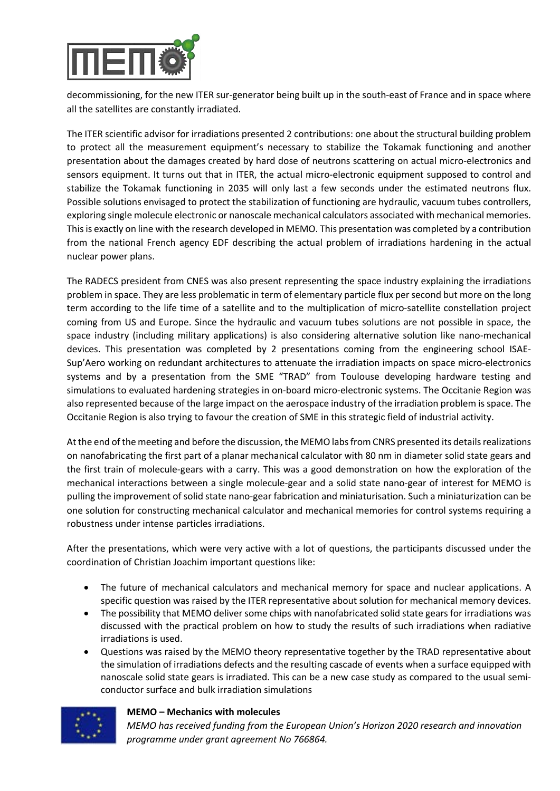

decommissioning, for the new ITER sur-generator being built up in the south-east of France and in space where all the satellites are constantly irradiated.

The ITER scientific advisor for irradiations presented 2 contributions: one about the structural building problem to protect all the measurement equipment's necessary to stabilize the Tokamak functioning and another presentation about the damages created by hard dose of neutrons scattering on actual micro-electronics and sensors equipment. It turns out that in ITER, the actual micro-electronic equipment supposed to control and stabilize the Tokamak functioning in 2035 will only last a few seconds under the estimated neutrons flux. Possible solutions envisaged to protect the stabilization of functioning are hydraulic, vacuum tubes controllers, exploring single molecule electronic or nanoscale mechanical calculators associated with mechanical memories. This is exactly on line with the research developed in MEMO. This presentation was completed by a contribution from the national French agency EDF describing the actual problem of irradiations hardening in the actual nuclear power plans.

The RADECS president from CNES was also present representing the space industry explaining the irradiations problem in space. They are less problematic in term of elementary particle flux per second but more on the long term according to the life time of a satellite and to the multiplication of micro-satellite constellation project coming from US and Europe. Since the hydraulic and vacuum tubes solutions are not possible in space, the space industry (including military applications) is also considering alternative solution like nano-mechanical devices. This presentation was completed by 2 presentations coming from the engineering school ISAE-Sup'Aero working on redundant architectures to attenuate the irradiation impacts on space micro-electronics systems and by a presentation from the SME "TRAD" from Toulouse developing hardware testing and simulations to evaluated hardening strategies in on-board micro-electronic systems. The Occitanie Region was also represented because of the large impact on the aerospace industry of the irradiation problem is space. The Occitanie Region is also trying to favour the creation of SME in this strategic field of industrial activity.

At the end of the meeting and before the discussion, the MEMO labs from CNRS presented its details realizations on nanofabricating the first part of a planar mechanical calculator with 80 nm in diameter solid state gears and the first train of molecule-gears with a carry. This was a good demonstration on how the exploration of the mechanical interactions between a single molecule-gear and a solid state nano-gear of interest for MEMO is pulling the improvement of solid state nano-gear fabrication and miniaturisation. Such a miniaturization can be one solution for constructing mechanical calculator and mechanical memories for control systems requiring a robustness under intense particles irradiations.

After the presentations, which were very active with a lot of questions, the participants discussed under the coordination of Christian Joachim important questions like:

- The future of mechanical calculators and mechanical memory for space and nuclear applications. A specific question was raised by the ITER representative about solution for mechanical memory devices.
- The possibility that MEMO deliver some chips with nanofabricated solid state gears for irradiations was discussed with the practical problem on how to study the results of such irradiations when radiative irradiations is used.
- Questions was raised by the MEMO theory representative together by the TRAD representative about the simulation of irradiations defects and the resulting cascade of events when a surface equipped with nanoscale solid state gears is irradiated. This can be a new case study as compared to the usual semiconductor surface and bulk irradiation simulations



#### **MEMO – Mechanics with molecules**